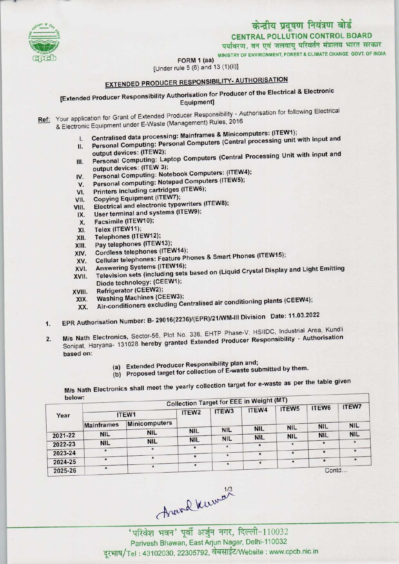

MINISTRY OF ENVIRONMENT, FOREST & CLIMATE CHANGE GOVT. OF INDIA

FORM 1 (aa)

[Under rule 5 (6) and 13 (1)(ii)]

# EXTENDED PRODUCER RESPONSIBILITY- AUTHORISATION

[Extended Producer Responsibility Authorisation for Producer of the Electrical & Electronic Equipment]

- Ref: Your application for Grant of Extended Producer Responsibility Authorisation for following Electrical & Electronic Equipment under E-Waste (Management) Rules, 2016
	- I. Centralised data processing: Mainframes & Minicomputers: (ITEW1);
	- II. Personal Computing: Personal Computers (Central processing unit with input and II. Personal Computing: Personal Computers (Central processing unit with input and<br>
	output devices: (ITEW2);<br>
	Personal Computing: Laptop Computers (Central Processing Unit with input and
	- output devices: (ITEW 3); III. Personal Computing: Laptop Computers (Central Protection)<br>output devices: (ITEW 3);<br>IV. Personal Computing: Notebook Computers: (ITEW4);
	- output devices: (ITEW 3);<br>V. Personal Computing: Notebook Computers: (ITEW<br>V. Personal computing: Notepad Computers (ITEW5);
	- IV. Personal Computing: Notebook Computers. (ITEW5);<br>V. Personal computing: Notepad Computers (ITEW5);<br>VII. Copying Equipment (ITEW7);
	-
	-
	- VI. Printers including cartridges (ITEW6);<br>VII. Copying Equipment (ITEW7);<br>VIII. Electrical and electronic typewriters (I VI. Printers including cartridges (ITEW6);<br>VII. Copying Equipment (ITEW7);<br>VIII. Electrical and electronic typewriters (ITEW8); /II. Copying Equipment (ITEW7);<br>'III. Electrical and electronic typewriters<br>IX. User terminal and systems (ITEW9);
	- IX. User terminal and systems (ITEW9);<br>X. Facsimile (ITEW10);<br>XI. Telex (ITEW11);
	-
	-
	- X. Facsimile (ITEW10);<br>XI. Telex (ITEW11);<br>XII. Telephones (ITEW12
	- XII. Telephones (ITEW12);<br>XIII. Pay telephones (ITEW
	- XIII. Pay telephones (ITEW13);<br>XIV. Cordless telephones (ITE)
	- XIV. Cordless telephones (ITEW14);<br>XV. Cellular telephones: Feature Pr XIII. Pay telephones (ITEW13);<br>KIV. Cordless telephones (ITEW14);<br>XV. Cellular telephones: Feature Phones & Smart Phones (ITEW15); XIV. Cordless telephones (ITEW14)<br>XVI. Cellular telephones: Feature P<br>XVI. Answering Systems (ITEW16);
	-
	- XVI. Answering Systems (ITEW16);<br>XVII. Television sets (including sets based on (Liquid Crystal Display and Light Emitting Diode technology: (CEEW1);
	-
	- XVIII. Refrigerator (CEEW2);<br>XIX. Washing Machines (CEEW3);
- Diode technology: (OEEW4);<br>XIX. Refrigerator (CEEW2);<br>XIX. Air-conditioners excluding Centralised air conditioning plants (CEEW4);
	- XIX. Washing Machines (CEEW3);<br>XX. Air-conditioners excluding Centralised air conditioning plants (CEEW4);<br>EPR Authorisation Number: B- 29016(2236)/(EPR)/21/WM-III Division Date: 11.03.2022
	- 2. EPR Authorisation Number: B- 29016(2236)/(EPR)/21/WM-III Division Date: 11.03.2022<br>2. M/s Nath Electronics, Sector-56, Plot No. 336, EHTP Phase-V, HSIIDC, Industrial Area, Kundling M/s Nath Electronics, Sector-56, Plot No. 336, EHTP Phase-V, HSIIDC, Industrial Area, Kundli<br>Sonipat, Haryana- 131028 hereby granted Extended Producer Responsibility - Authorisation based on:
		- (a)Extended Producer Responsibility plan and;
		- (b) Proposed target for collection of E-waste submitted by them.

M/s Nath Electronics shall meet the yearly collection target for e-waste as per the table given

|         | <b>Collection Target for EEE in Weight (MT)</b><br><b>ITEW7</b><br>ITEW6 |                      |                   |                   |            |                   |            |            |  |  |
|---------|--------------------------------------------------------------------------|----------------------|-------------------|-------------------|------------|-------------------|------------|------------|--|--|
| Year    | ITEW1                                                                    |                      | ITEW <sub>2</sub> | ITEW <sub>3</sub> | ITEW4      | ITEW <sub>5</sub> |            |            |  |  |
|         | <b>Mainframes</b>                                                        | <b>Minicomputers</b> |                   |                   |            |                   | <b>NIL</b> | <b>NIL</b> |  |  |
|         | <b>NIL</b>                                                               | <b>NIL</b>           | <b>NIL</b>        | <b>NIL</b>        | <b>NIL</b> | <b>NIL</b>        |            | <b>NIL</b> |  |  |
| 2021-22 |                                                                          |                      | <b>NIL</b>        | <b>NIL</b>        | <b>NIL</b> | <b>NIL</b>        | <b>NIL</b> |            |  |  |
| 2022-23 | <b>NIL</b>                                                               | <b>NIL</b>           |                   | $\star$           |            |                   |            |            |  |  |
|         |                                                                          | ★                    |                   |                   |            | $\star$           | $\star$    | $^{\ast}$  |  |  |
| 2023-24 |                                                                          |                      | $\star$           | $\star$           | $\star$    |                   |            |            |  |  |
| 2024-25 | $\star$                                                                  |                      |                   | $\star$           |            | $\star$           |            |            |  |  |
| 2025-26 |                                                                          |                      | $\star$           |                   |            |                   | Contd      |            |  |  |

Parivesh Bhawan, East Arjun Nagar, Delhi-110032 दूरभाष/Tel: 43102030, 22305792, वेबसाईट/Website: www.cpcb.nic.in

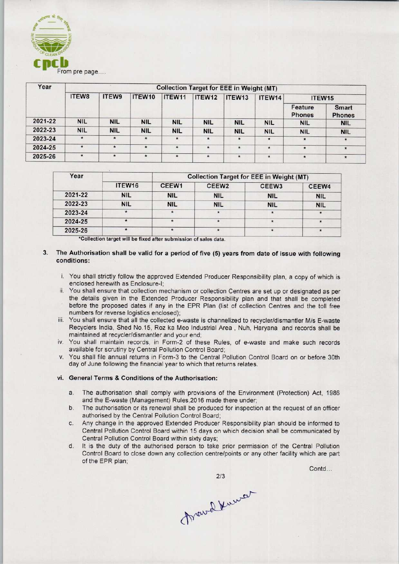

| Year    | <b>Collection Target for EEE in Weight (MT)</b> |            |            |            |            |            |            |                    |                               |  |
|---------|-------------------------------------------------|------------|------------|------------|------------|------------|------------|--------------------|-------------------------------|--|
|         | ITEW8                                           | ITEW9      | ITEW10     | ITEW11     | ITEW12     | ITEW13     | ITEW14     | ITEW <sub>15</sub> |                               |  |
|         |                                                 |            |            |            |            |            |            | Feature<br>Phones  | <b>Smart</b><br><b>Phones</b> |  |
| 2021-22 | <b>NIL</b>                                      | <b>NIL</b> | <b>NIL</b> | <b>NIL</b> | <b>NIL</b> | <b>NIL</b> | <b>NIL</b> | <b>NIL</b>         | <b>NIL</b>                    |  |
| 2022-23 | <b>NIL</b>                                      | <b>NIL</b> | <b>NIL</b> | <b>NIL</b> | <b>NIL</b> | <b>NIL</b> | <b>NIL</b> | <b>NIL</b>         | <b>NIL</b>                    |  |
| 2023-24 | $\star$                                         | $\star$    | $\star$    | $\star$    | $\star$    | $\star$    | $\star$    | $\star$            | $\star$                       |  |
| 2024-25 | $\star$                                         | $\star$    | $\star$    | $\star$    | $\star$    | $\star$    | $\star$    | $\star$            | $\star$                       |  |
| 2025-26 | $\star$                                         | $\star$    | $\star$    | $\star$    | $\star$    | $\star$    | $\star$    |                    | $\pmb{\ast}$                  |  |

| Year    |                    | <b>Collection Target for EEE in Weight (MT)</b> |                   |                   |            |  |  |
|---------|--------------------|-------------------------------------------------|-------------------|-------------------|------------|--|--|
|         | ITEW <sub>16</sub> | CEEW <sub>1</sub>                               | CEEW <sub>2</sub> | CEEW <sub>3</sub> | CEEW4      |  |  |
| 2021-22 | <b>NIL</b>         | <b>NIL</b>                                      | <b>NIL</b>        | <b>NIL</b>        | <b>NIL</b> |  |  |
| 2022-23 | <b>NIL</b>         | <b>NIL</b>                                      | <b>NIL</b>        | <b>NIL</b>        | <b>NIL</b> |  |  |
| 2023-24 | $\star$            | $\star$                                         | $\star$           | 麦                 |            |  |  |
| 2024-25 | $\star$            | $\star$                                         |                   |                   |            |  |  |
| 2025-26 |                    |                                                 | $\star$           |                   |            |  |  |

\*Collection target will be fixed after submission of sales data

### 3. The Authorisation shall be valid for a period of five (5) years from date of issue with following conditions:

- i. You shall strictly follow the approved Extended Producer Responsibility plan, a copy of which is enclosed herewith as Enclosure-I;
- ii. You shall ensure that collection mechanism or collection Centres are set up or designated as per the details given in the Extended Producer Responsibility plan and that shall be completed before the proposed dates if any in the EPR Plan (list of collection Centres and the toll free numbers for reverse logistics enclosed);
- iii. You shall ensure that all the collected e-waste is channelized to recycler/dismantler M/s E-waste Recyclers India, Shed No.15, Roz ka Meo Industrial Area , Nuh, Haryana and records shall be maintained at recycler/dismantler and your end;
- iv. You shall maintain records, in Form-2 of these Rules, of e-waste and make such records available for scrutiny by Central Pollution Control Board;
- v. You shall file annual returns in Form-3 to the Central Pollution Control Board on or before 30th day of June following the financial year to which that returns relates.

# vi. General Terms & Conditions of the Authorisation:

- a. The authorisation shall comply with provisions of the Environment (Protection) Act, 1986 and the E-waste (Management) Rules,2016 made there under;
- b.The authorisation or its renewal shall be produced for inspection at the request of an officer authorised by the Central Pollution Control Board;
- c.Any change in the approved Extended Producer Responsibility plan should be informed to Central Pollution Control Board within 15 days on which decision shall be communicated by Central Pollution Control Board within sixty days;
- d. It is the duty of the authorised person to take prior permission of the Central Pollution Control Board to close down any collection centre/points or any other facility which are part of the EPR plan;

Contd...

2/3<br>March Kumar